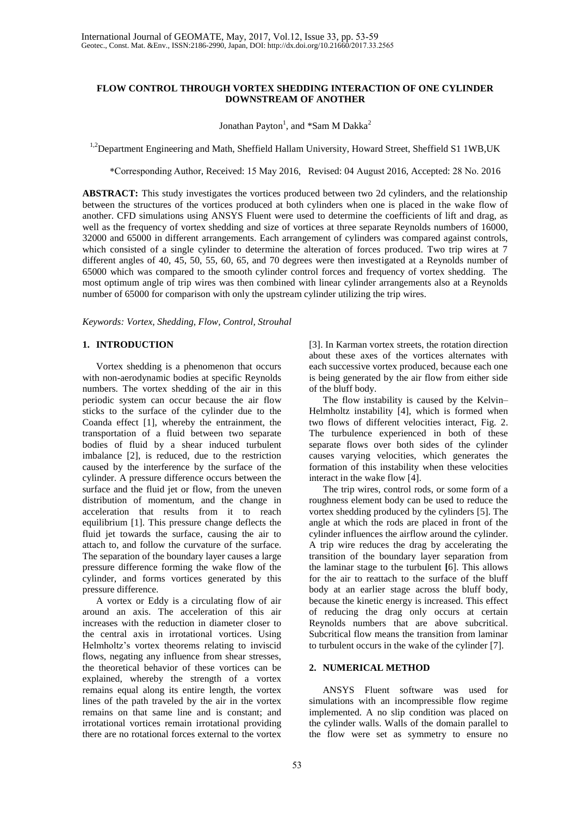# **FLOW CONTROL THROUGH VORTEX SHEDDING INTERACTION OF ONE CYLINDER DOWNSTREAM OF ANOTHER**

Jonathan Payton<sup>1</sup>, and \*Sam M Dakka<sup>2</sup>

<sup>1,2</sup>Department Engineering and Math, Sheffield Hallam University, Howard Street, Sheffield S1 1WB, UK

\*Corresponding Author, Received: 15 May 2016, Revised: 04 August 2016, Accepted: 28 No. 2016

**ABSTRACT:** This study investigates the vortices produced between two 2d cylinders, and the relationship between the structures of the vortices produced at both cylinders when one is placed in the wake flow of another. CFD simulations using ANSYS Fluent were used to determine the coefficients of lift and drag, as well as the frequency of vortex shedding and size of vortices at three separate Reynolds numbers of 16000, 32000 and 65000 in different arrangements. Each arrangement of cylinders was compared against controls, which consisted of a single cylinder to determine the alteration of forces produced. Two trip wires at 7 different angles of 40, 45, 50, 55, 60, 65, and 70 degrees were then investigated at a Reynolds number of 65000 which was compared to the smooth cylinder control forces and frequency of vortex shedding. The most optimum angle of trip wires was then combined with linear cylinder arrangements also at a Reynolds number of 65000 for comparison with only the upstream cylinder utilizing the trip wires.

*Keywords: Vortex, Shedding, Flow, Control, Strouhal*

#### **1. INTRODUCTION**

Vortex shedding is a phenomenon that occurs with non-aerodynamic bodies at specific Reynolds numbers. The vortex shedding of the air in this periodic system can occur because the air flow sticks to the surface of the cylinder due to the Coanda effect [1], whereby the entrainment, the transportation of a fluid between two separate bodies of fluid by a shear induced turbulent imbalance [2], is reduced, due to the restriction caused by the interference by the surface of the cylinder. A pressure difference occurs between the surface and the fluid jet or flow, from the uneven distribution of momentum, and the change in acceleration that results from it to reach equilibrium [1]. This pressure change deflects the fluid jet towards the surface, causing the air to attach to, and follow the curvature of the surface. The separation of the boundary layer causes a large pressure difference forming the wake flow of the cylinder, and forms vortices generated by this pressure difference.

A vortex or Eddy is a circulating flow of air around an axis. The acceleration of this air increases with the reduction in diameter closer to the central axis in irrotational vortices. Using Helmholtz's vortex theorems relating to inviscid flows, negating any influence from shear stresses, the theoretical behavior of these vortices can be explained, whereby the strength of a vortex remains equal along its entire length, the vortex lines of the path traveled by the air in the vortex remains on that same line and is constant; and irrotational vortices remain irrotational providing there are no rotational forces external to the vortex

[3]. In Karman vortex streets, the rotation direction about these axes of the vortices alternates with each successive vortex produced, because each one is being generated by the air flow from either side of the bluff body.

The flow instability is caused by the Kelvin– Helmholtz instability [4], which is formed when two flows of different velocities interact, Fig. 2. The turbulence experienced in both of these separate flows over both sides of the cylinder causes varying velocities, which generates the formation of this instability when these velocities interact in the wake flow [4].

The trip wires, control rods, or some form of a roughness element body can be used to reduce the vortex shedding produced by the cylinders [5]. The angle at which the rods are placed in front of the cylinder influences the airflow around the cylinder. A trip wire reduces the drag by accelerating the transition of the boundary layer separation from the laminar stage to the turbulent **[**6]. This allows for the air to reattach to the surface of the bluff body at an earlier stage across the bluff body, because the kinetic energy is increased. This effect of reducing the drag only occurs at certain Reynolds numbers that are above subcritical. Subcritical flow means the transition from laminar to turbulent occurs in the wake of the cylinder [7].

# **2. NUMERICAL METHOD**

ANSYS Fluent software was used for simulations with an incompressible flow regime implemented. A no slip condition was placed on the cylinder walls. Walls of the domain parallel to the flow were set as symmetry to ensure no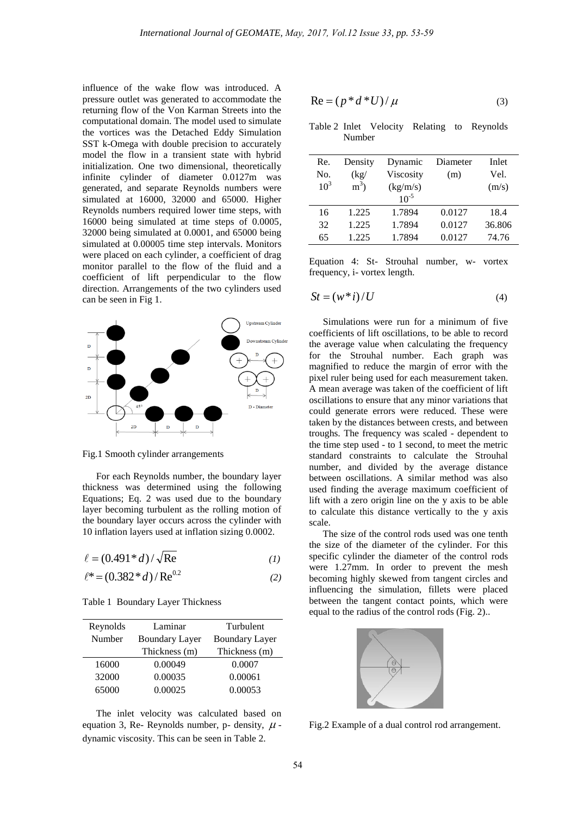influence of the wake flow was introduced. A pressure outlet was generated to accommodate the returning flow of the Von Karman Streets into the computational domain. The model used to simulate the vortices was the Detached Eddy Simulation SST k-Omega with double precision to accurately model the flow in a transient state with hybrid initialization. One two dimensional, theoretically infinite cylinder of diameter 0.0127m was generated, and separate Reynolds numbers were simulated at 16000, 32000 and 65000. Higher Reynolds numbers required lower time steps, with 16000 being simulated at time steps of 0.0005, 32000 being simulated at 0.0001, and 65000 being simulated at 0.00005 time step intervals. Monitors were placed on each cylinder, a coefficient of drag monitor parallel to the flow of the fluid and a coefficient of lift perpendicular to the flow direction. Arrangements of the two cylinders used can be seen in Fig 1.



Fig.1 Smooth cylinder arrangements

For each Reynolds number, the boundary layer thickness was determined using the following Equations; Eq. 2 was used due to the boundary layer becoming turbulent as the rolling motion of the boundary layer occurs across the cylinder with 10 inflation layers used at inflation sizing 0.0002.

$$
\ell = (0.491 * d) / \sqrt{\text{Re}} \tag{1}
$$

$$
\ell^* = (0.382 * d) / \text{Re}^{0.2} \tag{2}
$$

|  |  |  | Table 1 Boundary Layer Thickness |
|--|--|--|----------------------------------|
|--|--|--|----------------------------------|

| Reynolds | Laminar               | Turbulent             |  |
|----------|-----------------------|-----------------------|--|
| Number   | <b>Boundary Layer</b> | <b>Boundary Layer</b> |  |
|          | Thickness (m)         | Thickness (m)         |  |
| 16000    | 0.00049               | 0.0007                |  |
| 32000    | 0.00035               | 0.00061               |  |
| 65000    | 0.00025               | 0.00053               |  |

The inlet velocity was calculated based on equation 3, Re- Reynolds number, p- density,  $\mu$  dynamic viscosity. This can be seen in Table 2.

$$
Re = (p * d * U) / \mu \tag{3}
$$

Table 2 Inlet Velocity Relating to Reynolds Number

| Re.    | Density | Dynamic   | Diameter | Inlet  |
|--------|---------|-----------|----------|--------|
| No.    | (kg)    | Viscosity | (m)      | Vel.   |
| $10^3$ | $m^3$ ) | (kg/m/s)  |          | (m/s)  |
|        |         | $10^{-5}$ |          |        |
| 16     | 1.225   | 1.7894    | 0.0127   | 18.4   |
| 32     | 1.225   | 1.7894    | 0.0127   | 36.806 |
| 65     | 1.225   | 1.7894    | 0.0127   | 74.76  |

Equation 4: St- Strouhal number, w- vortex frequency, i- vortex length.

$$
St = (w * i) / U \tag{4}
$$

Simulations were run for a minimum of five coefficients of lift oscillations, to be able to record the average value when calculating the frequency for the Strouhal number. Each graph was magnified to reduce the margin of error with the pixel ruler being used for each measurement taken. A mean average was taken of the coefficient of lift oscillations to ensure that any minor variations that could generate errors were reduced. These were taken by the distances between crests, and between troughs. The frequency was scaled - dependent to the time step used - to 1 second, to meet the metric standard constraints to calculate the Strouhal number, and divided by the average distance between oscillations. A similar method was also used finding the average maximum coefficient of lift with a zero origin line on the y axis to be able to calculate this distance vertically to the y axis scale.

The size of the control rods used was one tenth the size of the diameter of the cylinder. For this specific cylinder the diameter of the control rods were 1.27mm. In order to prevent the mesh becoming highly skewed from tangent circles and influencing the simulation, fillets were placed between the tangent contact points, which were equal to the radius of the control rods (Fig. 2)..



Fig.2 Example of a dual control rod arrangement.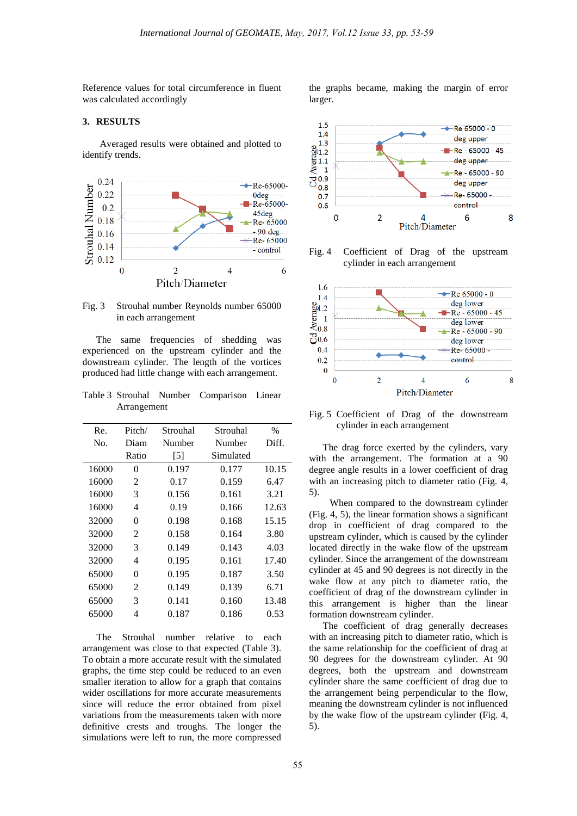Reference values for total circumference in fluent was calculated accordingly

### **3. RESULTS**

Averaged results were obtained and plotted to identify trends.



Fig. 3 Strouhal number Reynolds number 65000 in each arrangement

The same frequencies of shedding was experienced on the upstream cylinder and the downstream cylinder. The length of the vortices produced had little change with each arrangement.

Table 3 Strouhal Number Comparison Linear Arrangement

| Re.   | Pitch/         | Strouhal | Strouhal  | $\frac{0}{0}$ |
|-------|----------------|----------|-----------|---------------|
| No.   | Diam           | Number   | Number    | Diff.         |
|       | Ratio          | [5]      | Simulated |               |
| 16000 | 0              | 0.197    | 0.177     | 10.15         |
| 16000 | 2              | 0.17     | 0.159     | 6.47          |
| 16000 | 3              | 0.156    | 0.161     | 3.21          |
| 16000 | 4              | 0.19     | 0.166     | 12.63         |
| 32000 | $\Omega$       | 0.198    | 0.168     | 15.15         |
| 32000 | 2              | 0.158    | 0.164     | 3.80          |
| 32000 | 3              | 0.149    | 0.143     | 4.03          |
| 32000 | 4              | 0.195    | 0.161     | 17.40         |
| 65000 | 0              | 0.195    | 0.187     | 3.50          |
| 65000 | $\mathfrak{D}$ | 0.149    | 0.139     | 6.71          |
| 65000 | 3              | 0.141    | 0.160     | 13.48         |
| 65000 | 4              | 0.187    | 0.186     | 0.53          |
|       |                |          |           |               |

The Strouhal number relative to each arrangement was close to that expected (Table 3). To obtain a more accurate result with the simulated graphs, the time step could be reduced to an even smaller iteration to allow for a graph that contains wider oscillations for more accurate measurements since will reduce the error obtained from pixel variations from the measurements taken with more definitive crests and troughs. The longer the simulations were left to run, the more compressed the graphs became, making the margin of error larger.



Fig. 4 Coefficient of Drag of the upstream cylinder in each arrangement



Fig. 5 Coefficient of Drag of the downstream cylinder in each arrangement

The drag force exerted by the cylinders, vary with the arrangement. The formation at a 90 degree angle results in a lower coefficient of drag with an increasing pitch to diameter ratio (Fig. 4, 5).

When compared to the downstream cylinder (Fig. 4, 5), the linear formation shows a significant drop in coefficient of drag compared to the upstream cylinder, which is caused by the cylinder located directly in the wake flow of the upstream cylinder. Since the arrangement of the downstream cylinder at 45 and 90 degrees is not directly in the wake flow at any pitch to diameter ratio, the coefficient of drag of the downstream cylinder in this arrangement is higher than the linear formation downstream cylinder.

The coefficient of drag generally decreases with an increasing pitch to diameter ratio, which is the same relationship for the coefficient of drag at 90 degrees for the downstream cylinder. At 90 degrees, both the upstream and downstream cylinder share the same coefficient of drag due to the arrangement being perpendicular to the flow, meaning the downstream cylinder is not influenced by the wake flow of the upstream cylinder (Fig. 4, 5).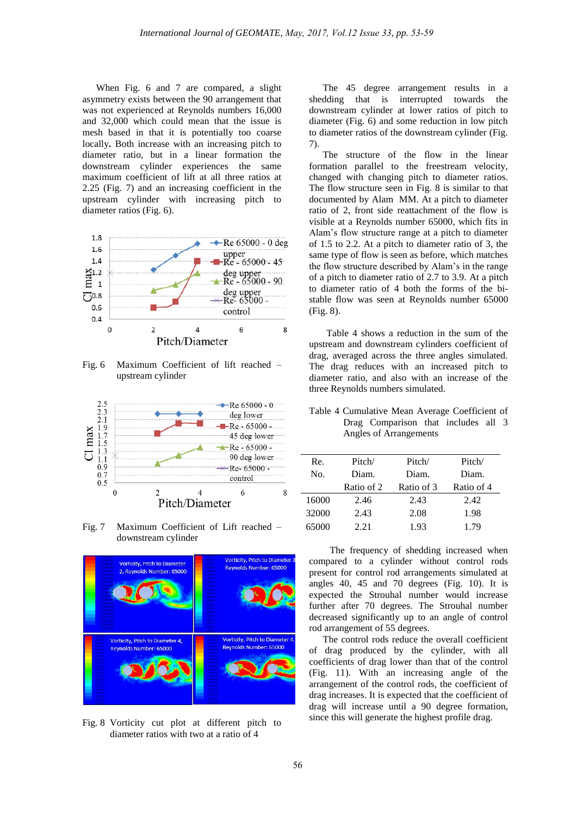When Fig. 6 and 7 are compared, a slight asymmetry exists between the 90 arrangement that was not experienced at Reynolds numbers 16,000 and 32,000 which could mean that the issue is mesh based in that it is potentially too coarse locally**.** Both increase with an increasing pitch to diameter ratio, but in a linear formation the downstream cylinder experiences the same maximum coefficient of lift at all three ratios at 2.25 (Fig. 7) and an increasing coefficient in the upstream cylinder with increasing pitch to diameter ratios (Fig. 6).



Fig. 6 Maximum Coefficient of lift reached – upstream cylinder



Fig. 7 Maximum Coefficient of Lift reached – downstream cylinder



Fig. 8 Vorticity cut plot at different pitch to diameter ratios with two at a ratio of 4

The 45 degree arrangement results in a shedding that is interrupted towards the downstream cylinder at lower ratios of pitch to diameter (Fig. 6) and some reduction in low pitch to diameter ratios of the downstream cylinder (Fig. 7).

The structure of the flow in the linear formation parallel to the freestream velocity, changed with changing pitch to diameter ratios. The flow structure seen in Fig. 8 is similar to that documented by Alam MM. At a pitch to diameter ratio of 2, front side reattachment of the flow is visible at a Reynolds number 65000, which fits in Alam's flow structure range at a pitch to diameter of 1.5 to 2.2. At a pitch to diameter ratio of 3, the same type of flow is seen as before, which matches the flow structure described by Alam's in the range of a pitch to diameter ratio of 2.7 to 3.9. At a pitch to diameter ratio of 4 both the forms of the bistable flow was seen at Reynolds number 65000 (Fig. 8).

Table 4 shows a reduction in the sum of the upstream and downstream cylinders coefficient of drag, averaged across the three angles simulated. The drag reduces with an increased pitch to diameter ratio, and also with an increase of the three Reynolds numbers simulated.

Table 4 Cumulative Mean Average Coefficient of Drag Comparison that includes all 3 Angles of Arrangements

| Re.   | Pitch/     | Pitch/     | Pitch/     |
|-------|------------|------------|------------|
| No.   | Diam.      | Diam.      | Diam.      |
|       | Ratio of 2 | Ratio of 3 | Ratio of 4 |
| 16000 | 2.46       | 2.43       | 2.42       |
| 32000 | 2.43       | 2.08       | 1.98       |
| 65000 | 2.21       | 1.93       | 1.79       |

The frequency of shedding increased when compared to a cylinder without control rods present for control rod arrangements simulated at angles 40, 45 and 70 degrees (Fig. 10). It is expected the Strouhal number would increase further after 70 degrees. The Strouhal number decreased significantly up to an angle of control rod arrangement of 55 degrees.

The control rods reduce the overall coefficient of drag produced by the cylinder, with all coefficients of drag lower than that of the control (Fig. 11). With an increasing angle of the arrangement of the control rods, the coefficient of drag increases. It is expected that the coefficient of drag will increase until a 90 degree formation, since this will generate the highest profile drag.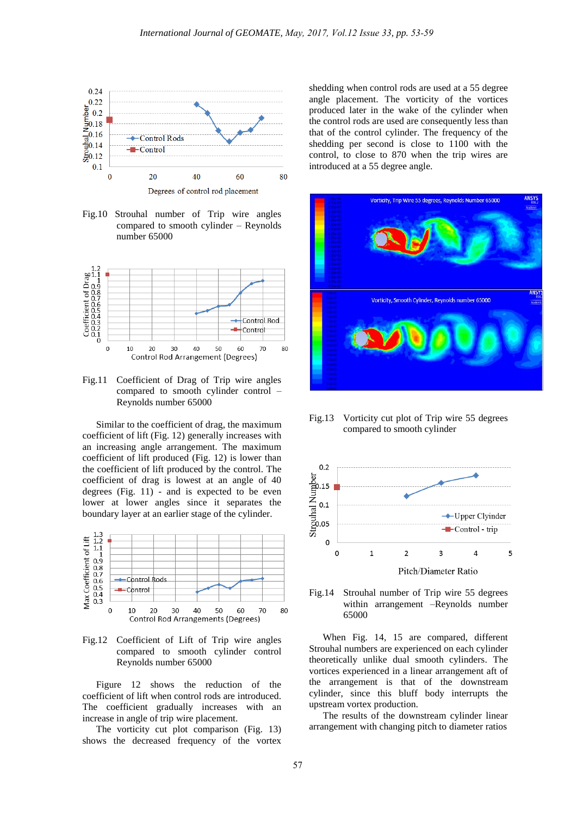

Fig.10 Strouhal number of Trip wire angles compared to smooth cylinder – Reynolds number 65000



Fig.11 Coefficient of Drag of Trip wire angles compared to smooth cylinder control – Reynolds number 65000

Similar to the coefficient of drag, the maximum coefficient of lift (Fig. 12) generally increases with an increasing angle arrangement. The maximum coefficient of lift produced (Fig. 12) is lower than the coefficient of lift produced by the control. The coefficient of drag is lowest at an angle of 40 degrees (Fig. 11) - and is expected to be even lower at lower angles since it separates the boundary layer at an earlier stage of the cylinder.



Fig.12 Coefficient of Lift of Trip wire angles compared to smooth cylinder control Reynolds number 65000

Figure 12 shows the reduction of the coefficient of lift when control rods are introduced. The coefficient gradually increases with an increase in angle of trip wire placement.

The vorticity cut plot comparison (Fig. 13) shows the decreased frequency of the vortex shedding when control rods are used at a 55 degree angle placement. The vorticity of the vortices produced later in the wake of the cylinder when the control rods are used are consequently less than that of the control cylinder. The frequency of the shedding per second is close to 1100 with the control, to close to 870 when the trip wires are introduced at a 55 degree angle.



Fig.13 Vorticity cut plot of Trip wire 55 degrees compared to smooth cylinder





When Fig. 14, 15 are compared, different Strouhal numbers are experienced on each cylinder theoretically unlike dual smooth cylinders. The vortices experienced in a linear arrangement aft of the arrangement is that of the downstream cylinder, since this bluff body interrupts the upstream vortex production.

The results of the downstream cylinder linear arrangement with changing pitch to diameter ratios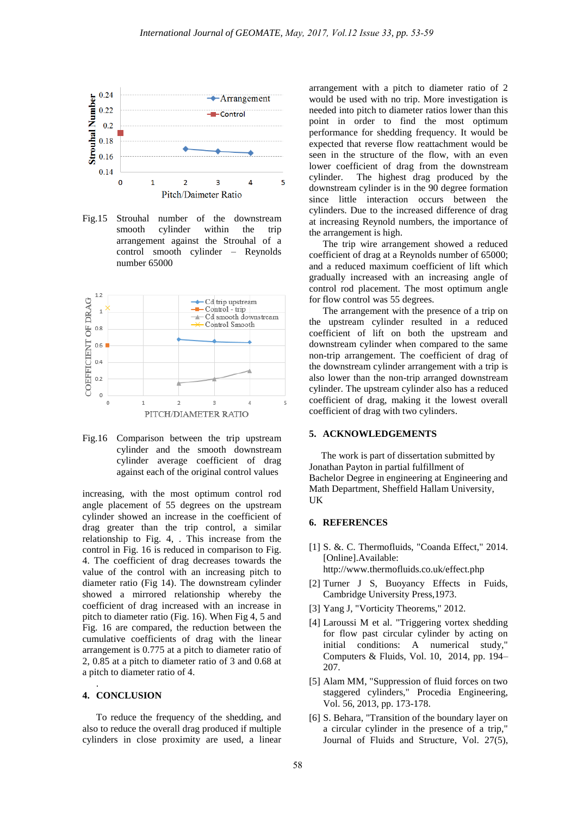

Fig.15 Strouhal number of the downstream smooth cylinder within the trip arrangement against the Strouhal of a control smooth cylinder – Reynolds number 65000



Fig.16 Comparison between the trip upstream cylinder and the smooth downstream cylinder average coefficient of drag against each of the original control values

increasing, with the most optimum control rod angle placement of 55 degrees on the upstream cylinder showed an increase in the coefficient of drag greater than the trip control, a similar relationship to Fig. 4, . This increase from the control in Fig. 16 is reduced in comparison to Fig. 4. The coefficient of drag decreases towards the value of the control with an increasing pitch to diameter ratio (Fig 14). The downstream cylinder showed a mirrored relationship whereby the coefficient of drag increased with an increase in pitch to diameter ratio (Fig. 16). When Fig 4, 5 and Fig. 16 are compared, the reduction between the cumulative coefficients of drag with the linear arrangement is 0.775 at a pitch to diameter ratio of 2, 0.85 at a pitch to diameter ratio of 3 and 0.68 at a pitch to diameter ratio of 4.

### **4. CONCLUSION**

.

To reduce the frequency of the shedding, and also to reduce the overall drag produced if multiple cylinders in close proximity are used, a linear arrangement with a pitch to diameter ratio of 2 would be used with no trip. More investigation is needed into pitch to diameter ratios lower than this point in order to find the most optimum performance for shedding frequency. It would be expected that reverse flow reattachment would be seen in the structure of the flow, with an even lower coefficient of drag from the downstream cylinder. The highest drag produced by the downstream cylinder is in the 90 degree formation since little interaction occurs between the cylinders. Due to the increased difference of drag at increasing Reynold numbers, the importance of the arrangement is high.

The trip wire arrangement showed a reduced coefficient of drag at a Reynolds number of 65000; and a reduced maximum coefficient of lift which gradually increased with an increasing angle of control rod placement. The most optimum angle for flow control was 55 degrees.

The arrangement with the presence of a trip on the upstream cylinder resulted in a reduced coefficient of lift on both the upstream and downstream cylinder when compared to the same non-trip arrangement. The coefficient of drag of the downstream cylinder arrangement with a trip is also lower than the non-trip arranged downstream cylinder. The upstream cylinder also has a reduced coefficient of drag, making it the lowest overall coefficient of drag with two cylinders.

### **5. ACKNOWLEDGEMENTS**

 The work is part of dissertation submitted by Jonathan Payton in partial fulfillment of Bachelor Degree in engineering at Engineering and Math Department, Sheffield Hallam University, UK

#### **6. REFERENCES**

- [1] S. &. C. Thermofluids, "Coanda Effect," 2014. [Online].Available: http://www.thermofluids.co.uk/effect.php
- [2] Turner J S, Buoyancy Effects in Fuids, Cambridge University Press,1973.
- [3] Yang J, "Vorticity Theorems," 2012.
- [4] Laroussi M et al. "Triggering vortex shedding for flow past circular cylinder by acting on initial conditions: A numerical study," Computers & Fluids, Vol. 10, 2014, pp. 194– 207.
- [5] Alam MM, "Suppression of fluid forces on two staggered cylinders," Procedia Engineering, Vol. 56, 2013, pp. 173-178.
- [6] S. Behara, "Transition of the boundary layer on a circular cylinder in the presence of a trip," Journal of Fluids and Structure, Vol. 27(5),